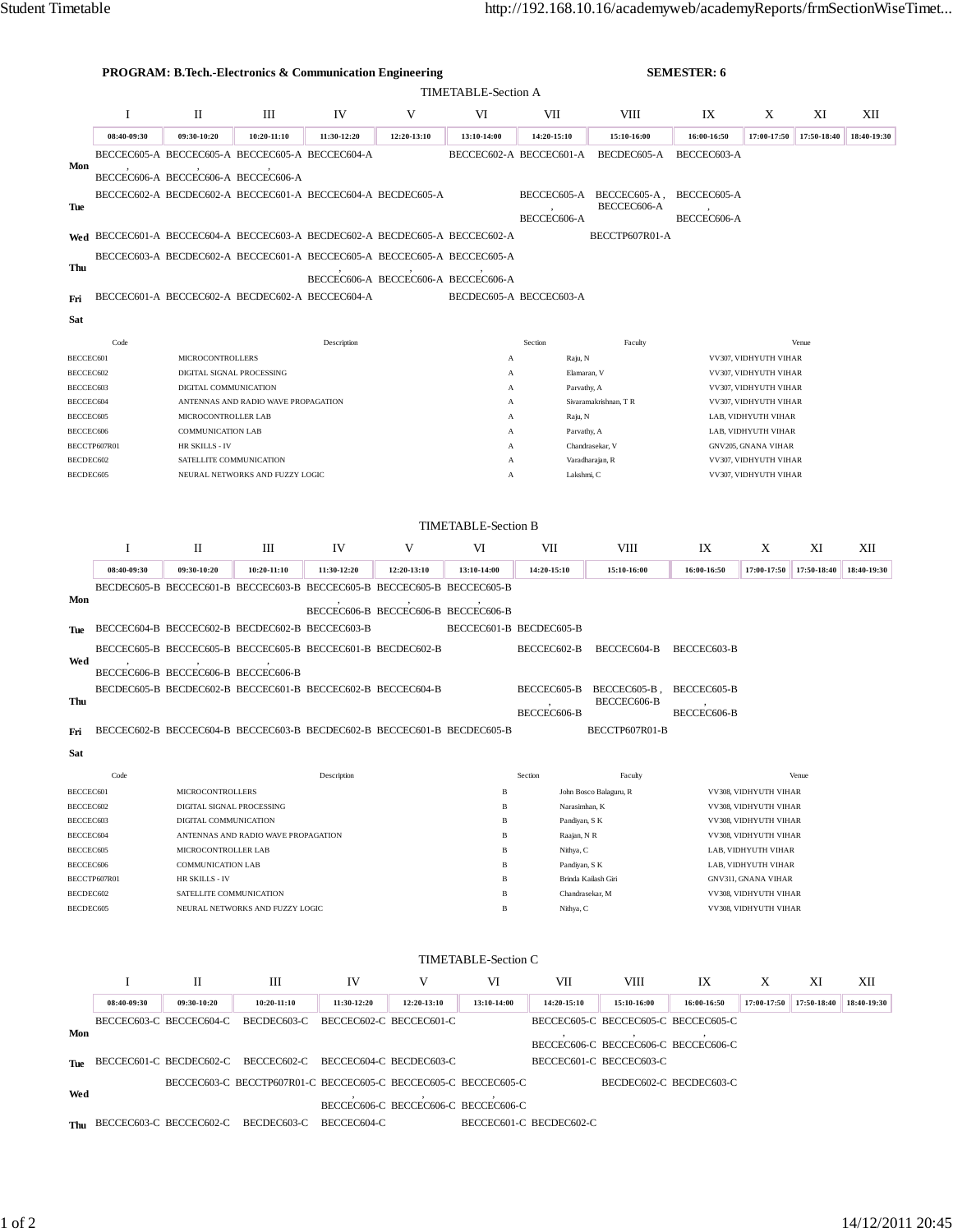|                                                    | <b>PROGRAM: B.Tech.-Electronics &amp; Communication Engineering</b><br><b>SEMESTER: 6</b> |                                                            |                                                             |             |                                                                             |                         |                              |                                     |                                              |                                                |             |             |  |
|----------------------------------------------------|-------------------------------------------------------------------------------------------|------------------------------------------------------------|-------------------------------------------------------------|-------------|-----------------------------------------------------------------------------|-------------------------|------------------------------|-------------------------------------|----------------------------------------------|------------------------------------------------|-------------|-------------|--|
| <b>TIMETABLE-Section A</b>                         |                                                                                           |                                                            |                                                             |             |                                                                             |                         |                              |                                     |                                              |                                                |             |             |  |
|                                                    | I                                                                                         | П                                                          | Ш                                                           | IV          | V                                                                           | VI                      | VII                          | VIII                                | IX                                           | X                                              | XI          | XII         |  |
|                                                    | 08:40-09:30                                                                               | 09:30-10:20                                                | 10:20-11:10                                                 | 11:30-12:20 | 12:20-13:10                                                                 | 13:10-14:00             | 14:20-15:10                  | 15:10-16:00                         | 16:00-16:50                                  | 17:00-17:50                                    | 17:50-18:40 | 18:40-19:30 |  |
|                                                    |                                                                                           |                                                            | BECCEC605-A BECCEC605-A BECCEC605-A BECCEC604-A             |             |                                                                             |                         | BECCEC602-A BECCEC601-A      | BECDEC605-A                         | BECCEC603-A                                  |                                                |             |             |  |
| Mon                                                |                                                                                           | BECCEC606-A BECCEC606-A BECCEC606-A                        |                                                             |             |                                                                             |                         |                              |                                     |                                              |                                                |             |             |  |
|                                                    |                                                                                           |                                                            | BECCEC602-A BECDEC602-A BECCEC601-A BECCEC604-A BECDEC605-A |             |                                                                             |                         | BECCEC605-A                  | BECCEC605-A,                        | BECCEC605-A                                  |                                                |             |             |  |
| Tue                                                |                                                                                           |                                                            |                                                             |             |                                                                             |                         | BECCEC606-A                  | BECCEC606-A                         | BECCEC606-A                                  |                                                |             |             |  |
|                                                    |                                                                                           |                                                            |                                                             |             | Wed BECCEC601-A BECCEC604-A BECCEC603-A BECDEC602-A BECDEC605-A BECCEC602-A |                         |                              | BECCTP607R01-A                      |                                              |                                                |             |             |  |
| Thu                                                |                                                                                           |                                                            |                                                             |             | BECCEC603-A BECDEC602-A BECCEC601-A BECCEC605-A BECCEC605-A BECCEC605-A     |                         |                              |                                     |                                              |                                                |             |             |  |
|                                                    |                                                                                           |                                                            |                                                             |             | BECCEC606-A BECCEC606-A BECCEC606-A                                         |                         |                              |                                     |                                              |                                                |             |             |  |
| Fri                                                |                                                                                           |                                                            | BECCEC601-A BECCEC602-A BECDEC602-A BECCEC604-A             |             |                                                                             | BECDEC605-A BECCEC603-A |                              |                                     |                                              |                                                |             |             |  |
| Sat                                                |                                                                                           |                                                            |                                                             |             |                                                                             |                         |                              |                                     |                                              |                                                |             |             |  |
| Code<br>Venue<br>Description<br>Section<br>Faculty |                                                                                           |                                                            |                                                             |             |                                                                             |                         |                              |                                     |                                              |                                                |             |             |  |
| BECCEC601                                          |                                                                                           | <b>MICROCONTROLLERS</b>                                    |                                                             |             |                                                                             | A                       | Raju, N                      |                                     | VV307, VIDHYUTH VIHAR                        |                                                |             |             |  |
| BECCEC602                                          |                                                                                           | DIGITAL SIGNAL PROCESSING                                  |                                                             |             |                                                                             | A                       | Elamaran, V                  |                                     | VV307, VIDHYUTH VIHAR                        |                                                |             |             |  |
| BECCEC603<br>BECCEC604                             |                                                                                           | DIGITAL COMMUNICATION                                      |                                                             |             |                                                                             | A<br>A                  | Parvathy, A                  | Sivaramakrishnan, T R               | VV307, VIDHYUTH VIHAR                        |                                                |             |             |  |
| BECCEC605                                          |                                                                                           | ANTENNAS AND RADIO WAVE PROPAGATION<br>MICROCONTROLLER LAB |                                                             |             |                                                                             | $\mathbf{A}$            | Raju, N                      |                                     | VV307, VIDHYUTH VIHAR<br>LAB, VIDHYUTH VIHAR |                                                |             |             |  |
| BECCEC606                                          |                                                                                           | <b>COMMUNICATION LAB</b>                                   |                                                             |             |                                                                             | LAB, VIDHYUTH VIHAR     |                              |                                     |                                              |                                                |             |             |  |
| BECCTP607R01                                       |                                                                                           | HR SKILLS - IV                                             |                                                             |             | Parvathy, A<br>A<br>Chandrasekar, V<br>A                                    |                         |                              |                                     | GNV205, GNANA VIHAR                          |                                                |             |             |  |
| BECDEC602                                          |                                                                                           | SATELLITE COMMUNICATION                                    |                                                             |             |                                                                             | A                       |                              | Varadharajan, R                     |                                              | VV307, VIDHYUTH VIHAR                          |             |             |  |
| BECDEC605                                          |                                                                                           |                                                            | NEURAL NETWORKS AND FUZZY LOGIC                             |             |                                                                             | $\mathbf{A}$            | Lakshmi, C                   |                                     |                                              | VV307, VIDHYUTH VIHAR                          |             |             |  |
|                                                    |                                                                                           |                                                            |                                                             |             |                                                                             |                         |                              |                                     |                                              |                                                |             |             |  |
|                                                    | <b>TIMETABLE-Section B</b>                                                                |                                                            |                                                             |             |                                                                             |                         |                              |                                     |                                              |                                                |             |             |  |
|                                                    | I                                                                                         | П                                                          | Ш                                                           | IV          | V                                                                           | VI                      | VII                          | VIII                                | IX                                           | Χ                                              | XI          | XII         |  |
|                                                    | 08:40-09:30                                                                               | 09:30-10:20                                                | 10:20-11:10                                                 | 11:30-12:20 | 12:20-13:10                                                                 | 13:10-14:00             | 14:20-15:10                  | 15:10-16:00                         | 16:00-16:50                                  | 17:00-17:50                                    | 17:50-18:40 | 18:40-19:30 |  |
|                                                    |                                                                                           |                                                            |                                                             |             | BECDEC605-B BECCEC601-B BECCEC603-B BECCEC605-B BECCEC605-B BECCEC605-B     |                         |                              |                                     |                                              |                                                |             |             |  |
| Mon                                                |                                                                                           |                                                            |                                                             |             | BECCEC606-B BECCEC606-B BECCEC606-B                                         |                         |                              |                                     |                                              |                                                |             |             |  |
|                                                    |                                                                                           |                                                            | BECCEC604-B BECCEC602-B BECDEC602-B BECCEC603-B             |             |                                                                             | BECCEC601-B BECDEC605-B |                              |                                     |                                              |                                                |             |             |  |
| Tue                                                |                                                                                           |                                                            | BECCEC605-B BECCEC605-B BECCEC605-B BECCEC601-B BECDEC602-B |             |                                                                             |                         | BECCEC602-B                  | BECCEC604-B                         | BECCEC603-B                                  |                                                |             |             |  |
| Wed                                                |                                                                                           |                                                            |                                                             |             |                                                                             |                         |                              |                                     |                                              |                                                |             |             |  |
|                                                    |                                                                                           | BECCEC606-B BECCEC606-B BECCEC606-B                        |                                                             |             |                                                                             |                         |                              |                                     |                                              |                                                |             |             |  |
| Thu                                                |                                                                                           |                                                            | BECDEC605-B BECDEC602-B BECCEC601-B BECCEC602-B BECCEC604-B |             |                                                                             |                         | BECCEC605-B                  | BECCEC605-B,<br>BECCEC606-B         | BECCEC605-B                                  |                                                |             |             |  |
|                                                    |                                                                                           |                                                            |                                                             |             |                                                                             |                         | BECCEC606-B                  |                                     | BECCEC606-B                                  |                                                |             |             |  |
| Fri                                                |                                                                                           |                                                            |                                                             |             | BECCEC602-B BECCEC604-B BECCEC603-B BECDEC602-B BECCEC601-B BECDEC605-B     |                         |                              | BECCTP607R01-B                      |                                              |                                                |             |             |  |
| Sat                                                |                                                                                           |                                                            |                                                             |             |                                                                             |                         |                              |                                     |                                              |                                                |             |             |  |
|                                                    | Code                                                                                      |                                                            |                                                             | Description |                                                                             |                         | Section                      | Faculty                             |                                              |                                                | Venue       |             |  |
|                                                    | BECCEC601<br><b>MICROCONTROLLERS</b>                                                      |                                                            |                                                             |             |                                                                             | B                       |                              | John Bosco Balaguru, R              | VV308, VIDHYUTH VIHAR                        |                                                |             |             |  |
| BECCEC602                                          |                                                                                           |                                                            | DIGITAL SIGNAL PROCESSING                                   |             |                                                                             | $\, {\bf B}$            | Narasimhan, K                |                                     | VV308, VIDHYUTH VIHAR                        |                                                |             |             |  |
|                                                    | BECCEC603<br>DIGITAL COMMUNICATION<br>BECCEC604<br>ANTENNAS AND RADIO WAVE PROPAGATION    |                                                            |                                                             |             |                                                                             | $\, {\bf B}$<br>B       | Pandiyan, S K<br>Raajan, N R |                                     |                                              | VV308, VIDHYUTH VIHAR<br>VV308, VIDHYUTH VIHAR |             |             |  |
|                                                    | BECCEC605<br>MICROCONTROLLER LAB                                                          |                                                            |                                                             |             |                                                                             | B                       | Nithya, C                    |                                     | LAB, VIDHYUTH VIHAR                          |                                                |             |             |  |
|                                                    | <b>COMMUNICATION LAB</b><br>BECCEC606                                                     |                                                            |                                                             |             |                                                                             | B<br>Pandiyan, S K      |                              |                                     | LAB, VIDHYUTH VIHAR                          |                                                |             |             |  |
|                                                    | BECCTP607R01<br>HR SKILLS - IV                                                            |                                                            |                                                             |             | $\, {\bf B}$                                                                |                         | Brinda Kailash Giri          | GNV311, GNANA VIHAR                 |                                              |                                                |             |             |  |
|                                                    | BECDEC602<br>SATELLITE COMMUNICATION                                                      |                                                            |                                                             |             | B                                                                           | Chandrasekar, M         |                              | VV308, VIDHYUTH VIHAR               |                                              |                                                |             |             |  |
|                                                    | BECDEC605<br>NEURAL NETWORKS AND FUZZY LOGIC                                              |                                                            |                                                             |             |                                                                             | B                       | Nithya, C                    |                                     | VV308, VIDHYUTH VIHAR                        |                                                |             |             |  |
|                                                    |                                                                                           |                                                            |                                                             |             |                                                                             |                         |                              |                                     |                                              |                                                |             |             |  |
| <b>TIMETABLE-Section C</b>                         |                                                                                           |                                                            |                                                             |             |                                                                             |                         |                              |                                     |                                              |                                                |             |             |  |
|                                                    | I                                                                                         | П                                                          | Ш                                                           | IV          | V                                                                           | VI                      | VII                          | VIII                                | IX                                           | X                                              | XI          | XII         |  |
|                                                    | 08:40-09:30                                                                               | 09:30-10:20                                                | 10:20-11:10                                                 | 11:30-12:20 | 12:20-13:10                                                                 | 13:10-14:00             | 14:20-15:10                  | 15:10-16:00                         | 16:00-16:50                                  | 17:00-17:50                                    | 17:50-18:40 | 18:40-19:30 |  |
|                                                    |                                                                                           | BECCEC603-C BECCEC604-C                                    | BECDEC603-C                                                 |             | BECCEC602-C BECCEC601-C                                                     |                         |                              | BECCEC605-C BECCEC605-C BECCEC605-C |                                              |                                                |             |             |  |
| Mon                                                |                                                                                           |                                                            |                                                             |             |                                                                             |                         |                              | BECCEC606-C BECCEC606-C BECCEC606-C |                                              |                                                |             |             |  |
| Tue                                                |                                                                                           |                                                            | BECCEC601-C BECDEC602-C BECCEC602-C                         |             | BECCEC604-C BECDEC603-C                                                     |                         |                              | BECCEC601-C BECCEC603-C             |                                              |                                                |             |             |  |
|                                                    |                                                                                           |                                                            |                                                             |             | BECCEC603-C BECCTP607R01-C BECCEC605-C BECCEC605-C BECCEC605-C              |                         |                              | BECDEC602-C BECDEC603-C             |                                              |                                                |             |             |  |
| Wed                                                |                                                                                           |                                                            |                                                             |             |                                                                             |                         |                              |                                     |                                              |                                                |             |             |  |
|                                                    |                                                                                           | BECCEC603-C BECCEC602-C                                    | BECDEC603-C                                                 | BECCEC604-C | BECCEC606-C BECCEC606-C BECCEC606-C                                         |                         | BECCEC601-C BECDEC602-C      |                                     |                                              |                                                |             |             |  |
| Thu                                                |                                                                                           |                                                            |                                                             |             |                                                                             |                         |                              |                                     |                                              |                                                |             |             |  |